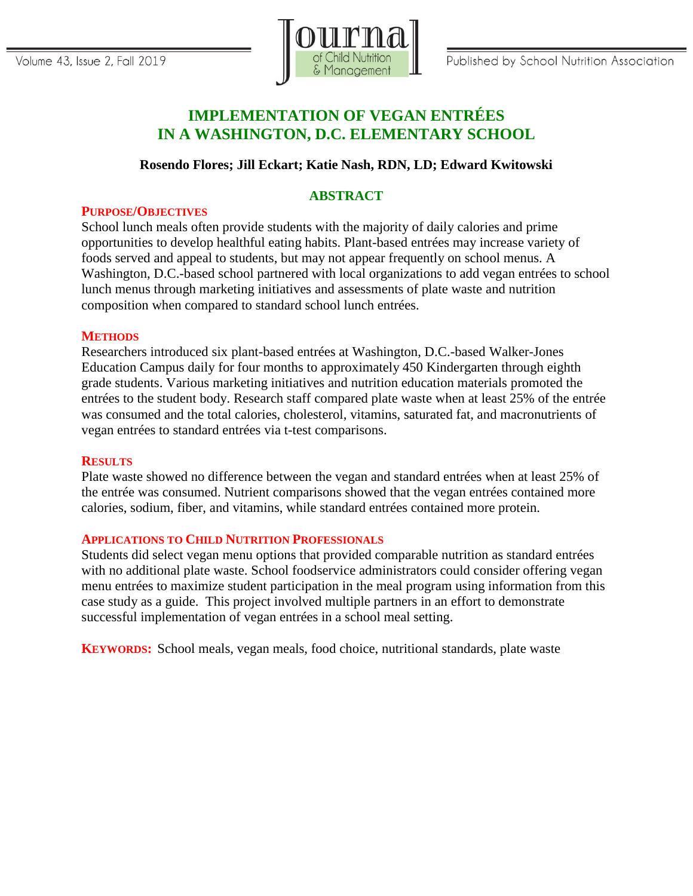

# **IMPLEMENTATION OF VEGAN ENTRÉES IN A WASHINGTON, D.C. ELEMENTARY SCHOOL**

# **Rosendo Flores; Jill Eckart; Katie Nash, RDN, LD; Edward Kwitowski**

# **ABSTRACT**

## **PURPOSE/OBJECTIVES**

School lunch meals often provide students with the majority of daily calories and prime opportunities to develop healthful eating habits. Plant-based entrées may increase variety of foods served and appeal to students, but may not appear frequently on school menus. A Washington, D.C.-based school partnered with local organizations to add vegan entrées to school lunch menus through marketing initiatives and assessments of plate waste and nutrition composition when compared to standard school lunch entrées.

## **METHODS**

Researchers introduced six plant-based entrées at Washington, D.C.-based Walker-Jones Education Campus daily for four months to approximately 450 Kindergarten through eighth grade students. Various marketing initiatives and nutrition education materials promoted the entrées to the student body. Research staff compared plate waste when at least 25% of the entrée was consumed and the total calories, cholesterol, vitamins, saturated fat, and macronutrients of vegan entrées to standard entrées via t-test comparisons.

#### **RESULTS**

Plate waste showed no difference between the vegan and standard entrées when at least 25% of the entrée was consumed. Nutrient comparisons showed that the vegan entrées contained more calories, sodium, fiber, and vitamins, while standard entrées contained more protein.

## **APPLICATIONS TO CHILD NUTRITION PROFESSIONALS**

Students did select vegan menu options that provided comparable nutrition as standard entrées with no additional plate waste. School foodservice administrators could consider offering vegan menu entrées to maximize student participation in the meal program using information from this case study as a guide. This project involved multiple partners in an effort to demonstrate successful implementation of vegan entrées in a school meal setting.

**KEYWORDS:** School meals, vegan meals, food choice, nutritional standards, plate waste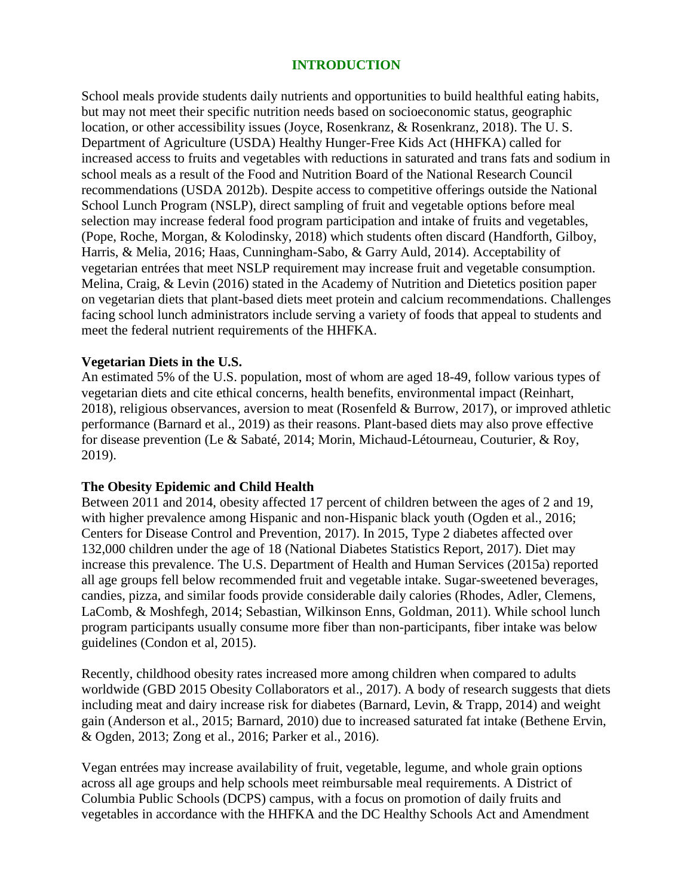## **INTRODUCTION**

School meals provide students daily nutrients and opportunities to build healthful eating habits, but may not meet their specific nutrition needs based on socioeconomic status, geographic location, or other accessibility issues (Joyce, Rosenkranz, & Rosenkranz, 2018). The U. S. Department of Agriculture (USDA) Healthy Hunger-Free Kids Act (HHFKA) called for increased access to fruits and vegetables with reductions in saturated and trans fats and sodium in school meals as a result of the Food and Nutrition Board of the National Research Council recommendations (USDA 2012b). Despite access to competitive offerings outside the National School Lunch Program (NSLP), direct sampling of fruit and vegetable options before meal selection may increase federal food program participation and intake of fruits and vegetables, (Pope, Roche, Morgan, & Kolodinsky, 2018) which students often discard (Handforth, Gilboy, Harris, & Melia, 2016; Haas, Cunningham-Sabo, & Garry Auld, 2014). Acceptability of vegetarian entrées that meet NSLP requirement may increase fruit and vegetable consumption. Melina, Craig, & Levin (2016) stated in the Academy of Nutrition and Dietetics position paper on vegetarian diets that plant-based diets meet protein and calcium recommendations. Challenges facing school lunch administrators include serving a variety of foods that appeal to students and meet the federal nutrient requirements of the HHFKA.

## **Vegetarian Diets in the U.S.**

An estimated 5% of the U.S. population, most of whom are aged 18-49, follow various types of vegetarian diets and cite ethical concerns, health benefits, environmental impact (Reinhart, 2018), religious observances, aversion to meat (Rosenfeld & Burrow, 2017), or improved athletic performance (Barnard et al., 2019) as their reasons. Plant-based diets may also prove effective for disease prevention (Le & Sabaté, 2014; Morin, Michaud-Létourneau, Couturier, & Roy, 2019).

## **The Obesity Epidemic and Child Health**

Between 2011 and 2014, obesity affected 17 percent of children between the ages of 2 and 19, with higher prevalence among Hispanic and non-Hispanic black youth (Ogden et al., 2016; Centers for Disease Control and Prevention, 2017). In 2015, Type 2 diabetes affected over 132,000 children under the age of 18 (National Diabetes Statistics Report, 2017). Diet may increase this prevalence. The U.S. Department of Health and Human Services (2015a) reported all age groups fell below recommended fruit and vegetable intake. Sugar-sweetened beverages, candies, pizza, and similar foods provide considerable daily calories (Rhodes, Adler, Clemens, LaComb, & Moshfegh, 2014; Sebastian, Wilkinson Enns, Goldman, 2011). While school lunch program participants usually consume more fiber than non-participants, fiber intake was below guidelines (Condon et al, 2015).

Recently, childhood obesity rates increased more among children when compared to adults worldwide (GBD 2015 Obesity Collaborators et al., 2017). A body of research suggests that diets including meat and dairy increase risk for diabetes (Barnard, Levin, & Trapp, 2014) and weight gain (Anderson et al., 2015; Barnard, 2010) due to increased saturated fat intake (Bethene Ervin, & Ogden, 2013; Zong et al., 2016; Parker et al., 2016).

Vegan entrées may increase availability of fruit, vegetable, legume, and whole grain options across all age groups and help schools meet reimbursable meal requirements. A District of Columbia Public Schools (DCPS) campus, with a focus on promotion of daily fruits and vegetables in accordance with the HHFKA and the DC Healthy Schools Act and Amendment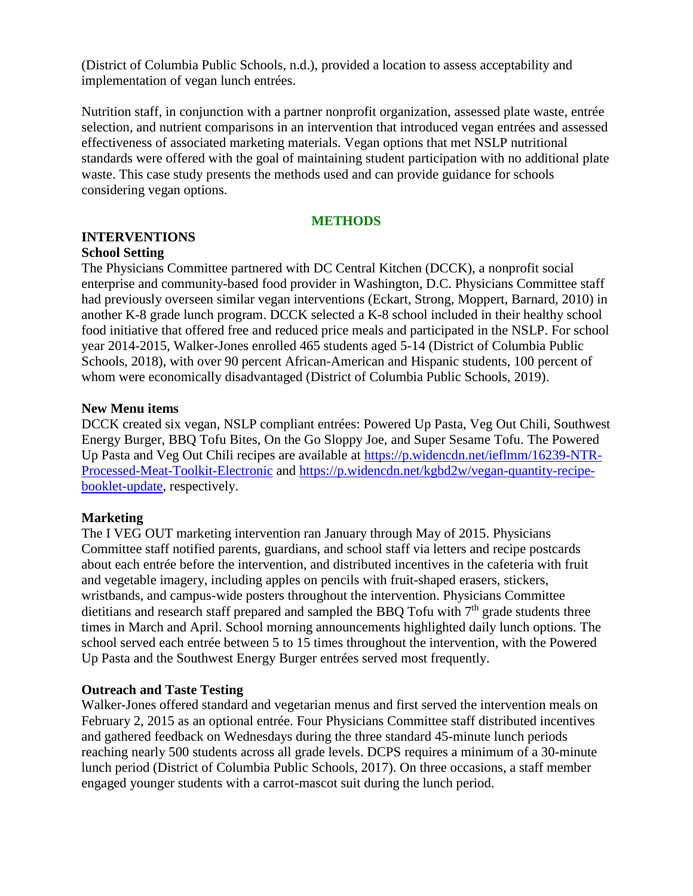(District of Columbia Public Schools, n.d.), provided a location to assess acceptability and implementation of vegan lunch entrées.

Nutrition staff, in conjunction with a partner nonprofit organization, assessed plate waste, entrée selection, and nutrient comparisons in an intervention that introduced vegan entrées and assessed effectiveness of associated marketing materials. Vegan options that met NSLP nutritional standards were offered with the goal of maintaining student participation with no additional plate waste. This case study presents the methods used and can provide guidance for schools considering vegan options.

## **METHODS**

#### **INTERVENTIONS School Setting**

The Physicians Committee partnered with DC Central Kitchen (DCCK), a nonprofit social enterprise and community-based food provider in Washington, D.C. Physicians Committee staff had previously overseen similar vegan interventions (Eckart, Strong, Moppert, Barnard, 2010) in another K-8 grade lunch program. DCCK selected a K-8 school included in their healthy school food initiative that offered free and reduced price meals and participated in the NSLP. For school year 2014-2015, Walker-Jones enrolled 465 students aged 5-14 (District of Columbia Public Schools, 2018), with over 90 percent African-American and Hispanic students, 100 percent of whom were economically disadvantaged (District of Columbia Public Schools, 2019).

## **New Menu items**

DCCK created six vegan, NSLP compliant entrées: Powered Up Pasta, Veg Out Chili, Southwest Energy Burger, BBQ Tofu Bites, On the Go Sloppy Joe, and Super Sesame Tofu. The Powered Up Pasta and Veg Out Chili recipes are available at [https://p.widencdn.net/ieflmm/16239-NTR-](https://p.widencdn.net/ieflmm/16239-NTR-Processed-Meat-Toolkit-Electronic)[Processed-Meat-Toolkit-Electronic](https://p.widencdn.net/ieflmm/16239-NTR-Processed-Meat-Toolkit-Electronic) and [https://p.widencdn.net/kgbd2w/vegan-quantity-recipe](https://p.widencdn.net/kgbd2w/vegan-quantity-recipe-booklet-update)[booklet-update,](https://p.widencdn.net/kgbd2w/vegan-quantity-recipe-booklet-update) respectively.

# **Marketing**

The I VEG OUT marketing intervention ran January through May of 2015. Physicians Committee staff notified parents, guardians, and school staff via letters and recipe postcards about each entrée before the intervention, and distributed incentives in the cafeteria with fruit and vegetable imagery, including apples on pencils with fruit-shaped erasers, stickers, wristbands, and campus-wide posters throughout the intervention. Physicians Committee dietitians and research staff prepared and sampled the BBQ Tofu with  $7<sup>th</sup>$  grade students three times in March and April. School morning announcements highlighted daily lunch options. The school served each entrée between 5 to 15 times throughout the intervention, with the Powered Up Pasta and the Southwest Energy Burger entrées served most frequently.

## **Outreach and Taste Testing**

Walker-Jones offered standard and vegetarian menus and first served the intervention meals on February 2, 2015 as an optional entrée. Four Physicians Committee staff distributed incentives and gathered feedback on Wednesdays during the three standard 45-minute lunch periods reaching nearly 500 students across all grade levels. DCPS requires a minimum of a 30-minute lunch period (District of Columbia Public Schools, 2017). On three occasions, a staff member engaged younger students with a carrot-mascot suit during the lunch period.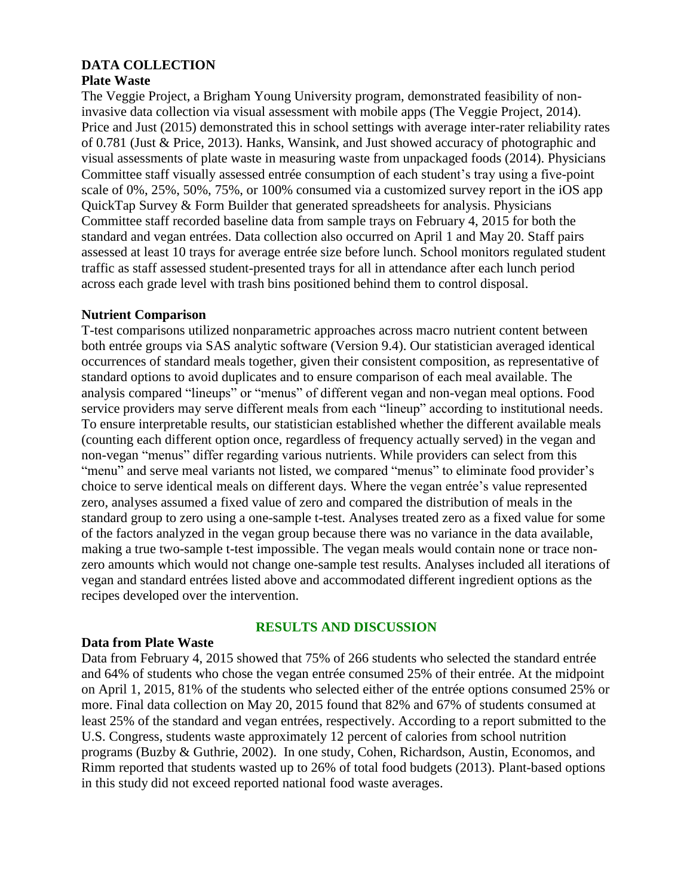# **DATA COLLECTION**

## **Plate Waste**

The Veggie Project, a Brigham Young University program, demonstrated feasibility of noninvasive data collection via visual assessment with mobile apps (The Veggie Project, 2014). Price and Just (2015) demonstrated this in school settings with average inter-rater reliability rates of 0.781 (Just & Price, 2013). Hanks, Wansink, and Just showed accuracy of photographic and visual assessments of plate waste in measuring waste from unpackaged foods (2014). Physicians Committee staff visually assessed entrée consumption of each student's tray using a five-point scale of 0%, 25%, 50%, 75%, or 100% consumed via a customized survey report in the iOS app QuickTap Survey & Form Builder that generated spreadsheets for analysis. Physicians Committee staff recorded baseline data from sample trays on February 4, 2015 for both the standard and vegan entrées. Data collection also occurred on April 1 and May 20. Staff pairs assessed at least 10 trays for average entrée size before lunch. School monitors regulated student traffic as staff assessed student-presented trays for all in attendance after each lunch period across each grade level with trash bins positioned behind them to control disposal.

## **Nutrient Comparison**

T-test comparisons utilized nonparametric approaches across macro nutrient content between both entrée groups via SAS analytic software (Version 9.4). Our statistician averaged identical occurrences of standard meals together, given their consistent composition, as representative of standard options to avoid duplicates and to ensure comparison of each meal available. The analysis compared "lineups" or "menus" of different vegan and non-vegan meal options. Food service providers may serve different meals from each "lineup" according to institutional needs. To ensure interpretable results, our statistician established whether the different available meals (counting each different option once, regardless of frequency actually served) in the vegan and non-vegan "menus" differ regarding various nutrients. While providers can select from this "menu" and serve meal variants not listed, we compared "menus" to eliminate food provider's choice to serve identical meals on different days. Where the vegan entrée's value represented zero, analyses assumed a fixed value of zero and compared the distribution of meals in the standard group to zero using a one-sample t-test. Analyses treated zero as a fixed value for some of the factors analyzed in the vegan group because there was no variance in the data available, making a true two-sample t-test impossible. The vegan meals would contain none or trace nonzero amounts which would not change one-sample test results. Analyses included all iterations of vegan and standard entrées listed above and accommodated different ingredient options as the recipes developed over the intervention.

# **RESULTS AND DISCUSSION**

## **Data from Plate Waste**

Data from February 4, 2015 showed that 75% of 266 students who selected the standard entrée and 64% of students who chose the vegan entrée consumed 25% of their entrée. At the midpoint on April 1, 2015, 81% of the students who selected either of the entrée options consumed 25% or more. Final data collection on May 20, 2015 found that 82% and 67% of students consumed at least 25% of the standard and vegan entrées, respectively. According to a report submitted to the U.S. Congress, students waste approximately 12 percent of calories from school nutrition programs (Buzby & Guthrie, 2002). In one study, Cohen, Richardson, Austin, Economos, and Rimm reported that students wasted up to 26% of total food budgets (2013). Plant-based options in this study did not exceed reported national food waste averages.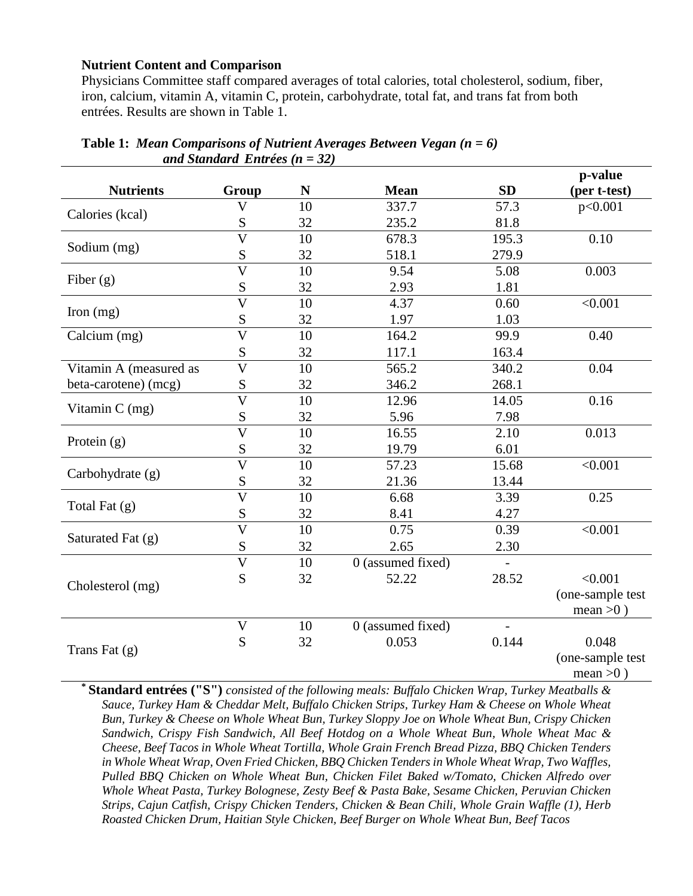#### **Nutrient Content and Comparison**

Physicians Committee staff compared averages of total calories, total cholesterol, sodium, fiber, iron, calcium, vitamin A, vitamin C, protein, carbohydrate, total fat, and trans fat from both entrées. Results are shown in Table 1.

|                        |                                  |    |                   |           | p-value          |
|------------------------|----------------------------------|----|-------------------|-----------|------------------|
| <b>Nutrients</b>       | Group                            | N  | <b>Mean</b>       | <b>SD</b> | (per t-test)     |
| Calories (kcal)        | $\overline{\mathsf{V}}$          | 10 | 337.7             | 57.3      | p<0.001          |
|                        | S                                | 32 | 235.2             | 81.8      |                  |
| Sodium (mg)            | $\overline{\overline{\text{V}}}$ | 10 | 678.3             | 195.3     | 0.10             |
|                        | S                                | 32 | 518.1             | 279.9     |                  |
| Fiber $(g)$            | $\overline{V}$                   | 10 | 9.54              | 5.08      | 0.003            |
|                        | S                                | 32 | 2.93              | 1.81      |                  |
| Iron $(mg)$            | $\overline{\text{V}}$            | 10 | 4.37              | 0.60      | < 0.001          |
|                        | S                                | 32 | 1.97              | 1.03      |                  |
| Calcium (mg)           | $\overline{\rm V}$               | 10 | 164.2             | 99.9      | 0.40             |
|                        | S                                | 32 | 117.1             | 163.4     |                  |
| Vitamin A (measured as | $\overline{V}$                   | 10 | 565.2             | 340.2     | 0.04             |
| beta-carotene) (mcg)   | ${\bf S}$                        | 32 | 346.2             | 268.1     |                  |
| Vitamin C (mg)         | $\overline{\text{V}}$            | 10 | 12.96             | 14.05     | 0.16             |
|                        | S                                | 32 | 5.96              | 7.98      |                  |
| Protein $(g)$          | $\overline{V}$                   | 10 | 16.55             | 2.10      | 0.013            |
|                        | S                                | 32 | 19.79             | 6.01      |                  |
| Carbohydrate (g)       | $\overline{\mathsf{V}}$          | 10 | 57.23             | 15.68     | < 0.001          |
|                        | ${\bf S}$                        | 32 | 21.36             | 13.44     |                  |
| Total Fat $(g)$        | $\overline{\mathsf{V}}$          | 10 | 6.68              | 3.39      | 0.25             |
|                        | S                                | 32 | 8.41              | 4.27      |                  |
| Saturated Fat (g)      | $\overline{\mathbf{V}}$          | 10 | 0.75              | 0.39      | < 0.001          |
|                        | S                                | 32 | 2.65              | 2.30      |                  |
|                        | $\overline{\mathsf{V}}$          | 10 | 0 (assumed fixed) |           |                  |
| Cholesterol (mg)       | S                                | 32 | 52.22             | 28.52     | < 0.001          |
|                        |                                  |    |                   |           | (one-sample test |
|                        |                                  |    |                   |           | mean $>0$ )      |
| Trans Fat $(g)$        | $\mathbf V$                      | 10 | 0 (assumed fixed) |           |                  |
|                        | S                                | 32 | 0.053             | 0.144     | 0.048            |
|                        |                                  |    |                   |           | (one-sample test |
|                        |                                  |    |                   |           | mean $>0$ )      |

| <b>Table 1:</b> Mean Comparisons of Nutrient Averages Between Vegan $(n = 6)$ |  |
|-------------------------------------------------------------------------------|--|
| and Standard Entrées ( $n = 32$ )                                             |  |

**\* Standard entrées ("S")** *consisted of the following meals: Buffalo Chicken Wrap, Turkey Meatballs & Sauce, Turkey Ham & Cheddar Melt, Buffalo Chicken Strips, Turkey Ham & Cheese on Whole Wheat Bun, Turkey & Cheese on Whole Wheat Bun, Turkey Sloppy Joe on Whole Wheat Bun, Crispy Chicken Sandwich, Crispy Fish Sandwich, All Beef Hotdog on a Whole Wheat Bun, Whole Wheat Mac & Cheese, Beef Tacos in Whole Wheat Tortilla, Whole Grain French Bread Pizza, BBQ Chicken Tenders in Whole Wheat Wrap, Oven Fried Chicken, BBQ Chicken Tenders in Whole Wheat Wrap, Two Waffles, Pulled BBQ Chicken on Whole Wheat Bun, Chicken Filet Baked w/Tomato, Chicken Alfredo over Whole Wheat Pasta, Turkey Bolognese, Zesty Beef & Pasta Bake, Sesame Chicken, Peruvian Chicken Strips, Cajun Catfish, Crispy Chicken Tenders, Chicken & Bean Chili, Whole Grain Waffle (1), Herb Roasted Chicken Drum, Haitian Style Chicken, Beef Burger on Whole Wheat Bun, Beef Tacos*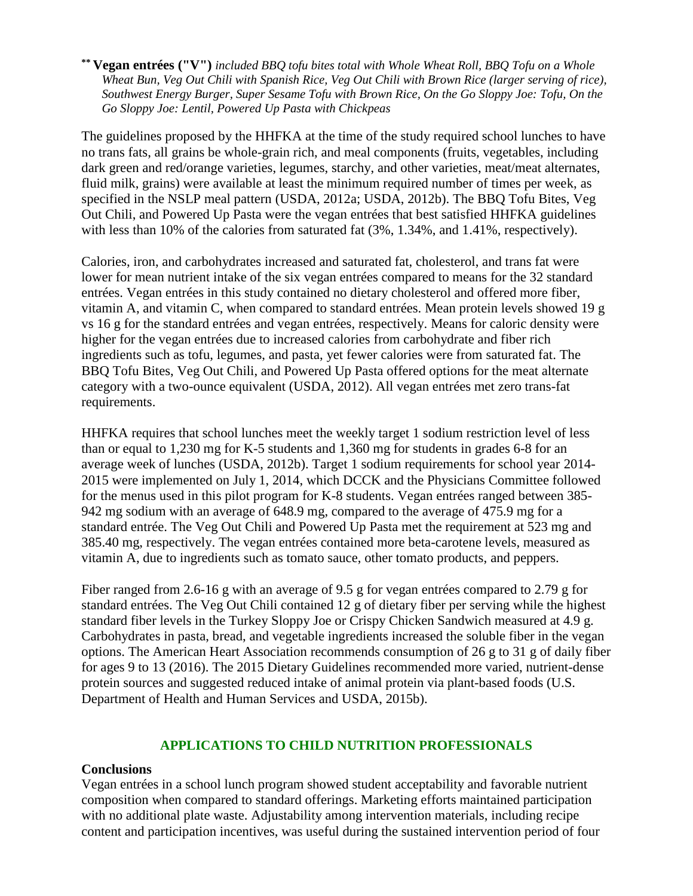**\*\* Vegan entrées ("V")** *included BBQ tofu bites total with Whole Wheat Roll, BBQ Tofu on a Whole Wheat Bun, Veg Out Chili with Spanish Rice, Veg Out Chili with Brown Rice (larger serving of rice), Southwest Energy Burger, Super Sesame Tofu with Brown Rice, On the Go Sloppy Joe: Tofu, On the Go Sloppy Joe: Lentil, Powered Up Pasta with Chickpeas*

The guidelines proposed by the HHFKA at the time of the study required school lunches to have no trans fats, all grains be whole-grain rich, and meal components (fruits, vegetables, including dark green and red/orange varieties, legumes, starchy, and other varieties, meat/meat alternates, fluid milk, grains) were available at least the minimum required number of times per week, as specified in the NSLP meal pattern (USDA, 2012a; USDA, 2012b). The BBQ Tofu Bites, Veg Out Chili, and Powered Up Pasta were the vegan entrées that best satisfied HHFKA guidelines with less than 10% of the calories from saturated fat  $(3\%, 1.34\%, \text{and } 1.41\%, \text{respectively}).$ 

Calories, iron, and carbohydrates increased and saturated fat, cholesterol, and trans fat were lower for mean nutrient intake of the six vegan entrées compared to means for the 32 standard entrées. Vegan entrées in this study contained no dietary cholesterol and offered more fiber, vitamin A, and vitamin C, when compared to standard entrées. Mean protein levels showed 19 g vs 16 g for the standard entrées and vegan entrées, respectively. Means for caloric density were higher for the vegan entrées due to increased calories from carbohydrate and fiber rich ingredients such as tofu, legumes, and pasta, yet fewer calories were from saturated fat. The BBQ Tofu Bites, Veg Out Chili, and Powered Up Pasta offered options for the meat alternate category with a two-ounce equivalent (USDA, 2012). All vegan entrées met zero trans-fat requirements.

HHFKA requires that school lunches meet the weekly target 1 sodium restriction level of less than or equal to 1,230 mg for K-5 students and 1,360 mg for students in grades 6-8 for an average week of lunches (USDA, 2012b). Target 1 sodium requirements for school year 2014- 2015 were implemented on July 1, 2014, which DCCK and the Physicians Committee followed for the menus used in this pilot program for K-8 students. Vegan entrées ranged between 385- 942 mg sodium with an average of 648.9 mg, compared to the average of 475.9 mg for a standard entrée. The Veg Out Chili and Powered Up Pasta met the requirement at 523 mg and 385.40 mg, respectively. The vegan entrées contained more beta-carotene levels, measured as vitamin A, due to ingredients such as tomato sauce, other tomato products, and peppers.

Fiber ranged from 2.6-16 g with an average of 9.5 g for vegan entrées compared to 2.79 g for standard entrées. The Veg Out Chili contained 12 g of dietary fiber per serving while the highest standard fiber levels in the Turkey Sloppy Joe or Crispy Chicken Sandwich measured at 4.9 g. Carbohydrates in pasta, bread, and vegetable ingredients increased the soluble fiber in the vegan options. The American Heart Association recommends consumption of 26 g to 31 g of daily fiber for ages 9 to 13 (2016). The 2015 Dietary Guidelines recommended more varied, nutrient-dense protein sources and suggested reduced intake of animal protein via plant-based foods (U.S. Department of Health and Human Services and USDA, 2015b).

## **APPLICATIONS TO CHILD NUTRITION PROFESSIONALS**

#### **Conclusions**

Vegan entrées in a school lunch program showed student acceptability and favorable nutrient composition when compared to standard offerings. Marketing efforts maintained participation with no additional plate waste. Adjustability among intervention materials, including recipe content and participation incentives, was useful during the sustained intervention period of four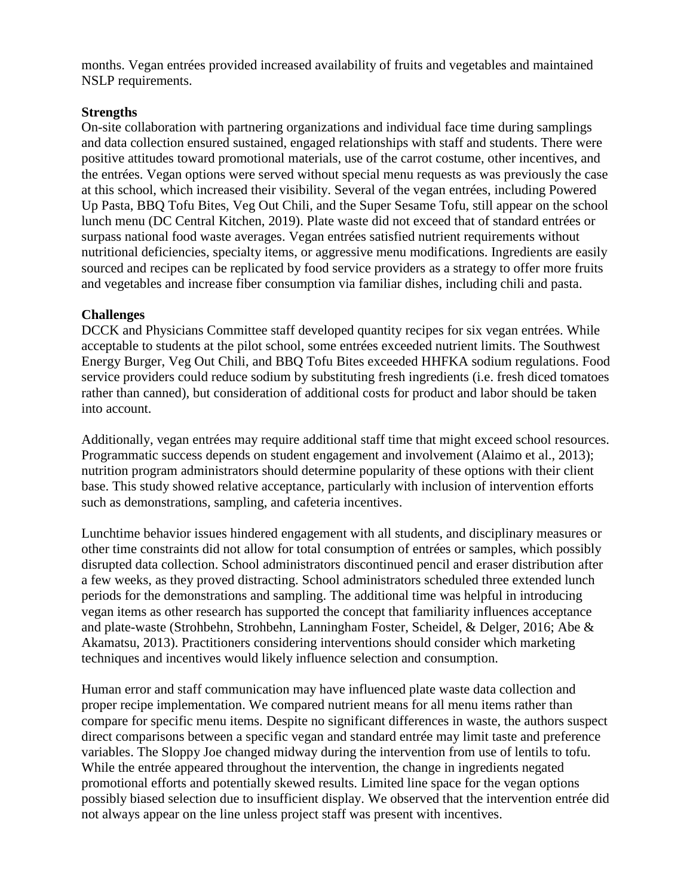months. Vegan entrées provided increased availability of fruits and vegetables and maintained NSLP requirements.

# **Strengths**

On-site collaboration with partnering organizations and individual face time during samplings and data collection ensured sustained, engaged relationships with staff and students. There were positive attitudes toward promotional materials, use of the carrot costume, other incentives, and the entrées. Vegan options were served without special menu requests as was previously the case at this school, which increased their visibility. Several of the vegan entrées, including Powered Up Pasta, BBQ Tofu Bites, Veg Out Chili, and the Super Sesame Tofu, still appear on the school lunch menu (DC Central Kitchen, 2019). Plate waste did not exceed that of standard entrées or surpass national food waste averages. Vegan entrées satisfied nutrient requirements without nutritional deficiencies, specialty items, or aggressive menu modifications. Ingredients are easily sourced and recipes can be replicated by food service providers as a strategy to offer more fruits and vegetables and increase fiber consumption via familiar dishes, including chili and pasta.

## **Challenges**

DCCK and Physicians Committee staff developed quantity recipes for six vegan entrées. While acceptable to students at the pilot school, some entrées exceeded nutrient limits. The Southwest Energy Burger, Veg Out Chili, and BBQ Tofu Bites exceeded HHFKA sodium regulations. Food service providers could reduce sodium by substituting fresh ingredients (i.e. fresh diced tomatoes rather than canned), but consideration of additional costs for product and labor should be taken into account.

Additionally, vegan entrées may require additional staff time that might exceed school resources. Programmatic success depends on student engagement and involvement (Alaimo et al., 2013); nutrition program administrators should determine popularity of these options with their client base. This study showed relative acceptance, particularly with inclusion of intervention efforts such as demonstrations, sampling, and cafeteria incentives.

Lunchtime behavior issues hindered engagement with all students, and disciplinary measures or other time constraints did not allow for total consumption of entrées or samples, which possibly disrupted data collection. School administrators discontinued pencil and eraser distribution after a few weeks, as they proved distracting. School administrators scheduled three extended lunch periods for the demonstrations and sampling. The additional time was helpful in introducing vegan items as other research has supported the concept that familiarity influences acceptance and plate-waste (Strohbehn, Strohbehn, Lanningham Foster, Scheidel, & Delger, 2016; Abe & Akamatsu, 2013). Practitioners considering interventions should consider which marketing techniques and incentives would likely influence selection and consumption.

Human error and staff communication may have influenced plate waste data collection and proper recipe implementation. We compared nutrient means for all menu items rather than compare for specific menu items. Despite no significant differences in waste, the authors suspect direct comparisons between a specific vegan and standard entrée may limit taste and preference variables. The Sloppy Joe changed midway during the intervention from use of lentils to tofu. While the entrée appeared throughout the intervention, the change in ingredients negated promotional efforts and potentially skewed results. Limited line space for the vegan options possibly biased selection due to insufficient display. We observed that the intervention entrée did not always appear on the line unless project staff was present with incentives.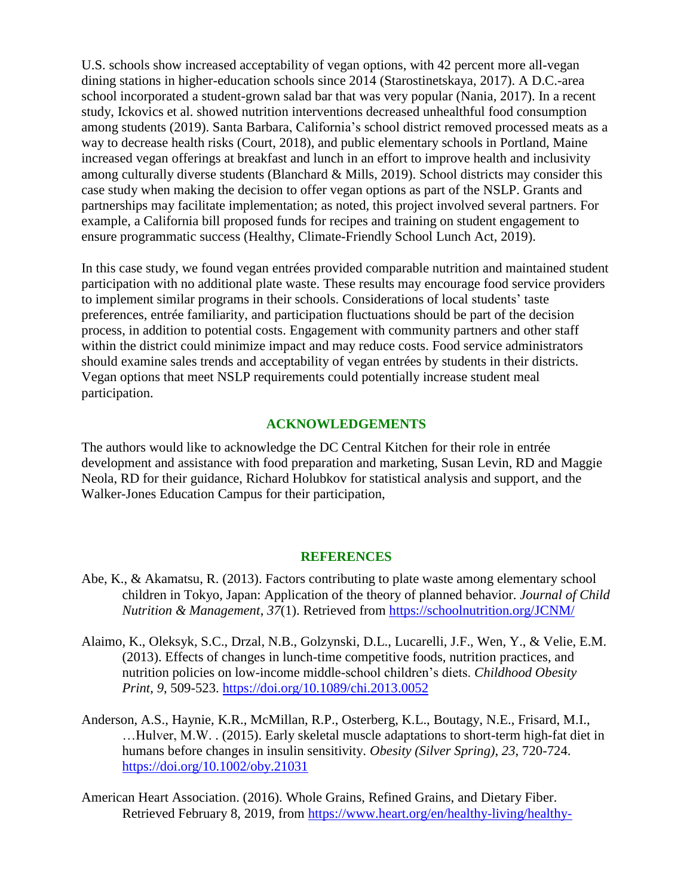U.S. schools show increased acceptability of vegan options, with 42 percent more all-vegan dining stations in higher-education schools since 2014 (Starostinetskaya, 2017). A D.C.-area school incorporated a student-grown salad bar that was very popular (Nania, 2017). In a recent study, Ickovics et al. showed nutrition interventions decreased unhealthful food consumption among students (2019). Santa Barbara, California's school district removed processed meats as a way to decrease health risks (Court, 2018), and public elementary schools in Portland, Maine increased vegan offerings at breakfast and lunch in an effort to improve health and inclusivity among culturally diverse students (Blanchard & Mills, 2019). School districts may consider this case study when making the decision to offer vegan options as part of the NSLP. Grants and partnerships may facilitate implementation; as noted, this project involved several partners. For example, a California bill proposed funds for recipes and training on student engagement to ensure programmatic success (Healthy, Climate-Friendly School Lunch Act, 2019).

In this case study, we found vegan entrées provided comparable nutrition and maintained student participation with no additional plate waste. These results may encourage food service providers to implement similar programs in their schools. Considerations of local students' taste preferences, entrée familiarity, and participation fluctuations should be part of the decision process, in addition to potential costs. Engagement with community partners and other staff within the district could minimize impact and may reduce costs. Food service administrators should examine sales trends and acceptability of vegan entrées by students in their districts. Vegan options that meet NSLP requirements could potentially increase student meal participation.

#### **ACKNOWLEDGEMENTS**

The authors would like to acknowledge the DC Central Kitchen for their role in entrée development and assistance with food preparation and marketing, Susan Levin, RD and Maggie Neola, RD for their guidance, Richard Holubkov for statistical analysis and support, and the Walker-Jones Education Campus for their participation,

#### **REFERENCES**

- Abe, K., & Akamatsu, R. (2013). Factors contributing to plate waste among elementary school children in Tokyo, Japan: Application of the theory of planned behavior. *Journal of Child Nutrition & Management*, *37*(1). Retrieved from <https://schoolnutrition.org/JCNM/>
- Alaimo, K., Oleksyk, S.C., Drzal, N.B., Golzynski, D.L., Lucarelli, J.F., Wen, Y., & Velie, E.M. (2013). Effects of changes in lunch-time competitive foods, nutrition practices, and nutrition policies on low-income middle-school children's diets. *Childhood Obesity Print*, *9*, 509-523. <https://doi.org/10.1089/chi.2013.0052>
- Anderson, A.S., Haynie, K.R., McMillan, R.P., Osterberg, K.L., Boutagy, N.E., Frisard, M.I., …Hulver, M.W. . (2015). Early skeletal muscle adaptations to short-term high-fat diet in humans before changes in insulin sensitivity. *Obesity (Silver Spring)*, *23*, 720-724. <https://doi.org/10.1002/oby.21031>
- American Heart Association. (2016). Whole Grains, Refined Grains, and Dietary Fiber. Retrieved February 8, 2019, from [https://www.heart.org/en/healthy-living/healthy-](https://www.heart.org/en/healthy-living/healthy-eating/eat-smart/nutrition-basics/whole-grains-refined-grains-and-dietary-fiber#.Wqg1p7enGos)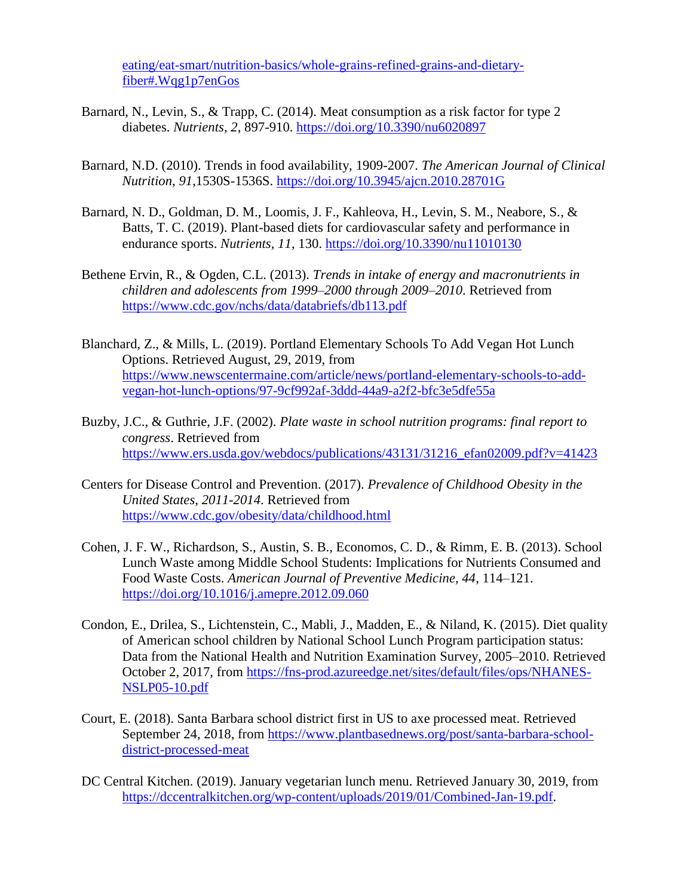[eating/eat-smart/nutrition-basics/whole-grains-refined-grains-and-dietary](https://www.heart.org/en/healthy-living/healthy-eating/eat-smart/nutrition-basics/whole-grains-refined-grains-and-dietary-fiber#.Wqg1p7enGos)[fiber#.Wqg1p7enGos](https://www.heart.org/en/healthy-living/healthy-eating/eat-smart/nutrition-basics/whole-grains-refined-grains-and-dietary-fiber#.Wqg1p7enGos)

- Barnard, N., Levin, S., & Trapp, C. (2014). Meat consumption as a risk factor for type 2 diabetes. *Nutrients*, *2*, 897-910. <https://doi.org/10.3390/nu6020897>
- Barnard, N.D. (2010). Trends in food availability, 1909-2007. *The American Journal of Clinical Nutrition*, *91*,1530S-1536S. <https://doi.org/10.3945/ajcn.2010.28701G>
- Barnard, N. D., Goldman, D. M., Loomis, J. F., Kahleova, H., Levin, S. M., Neabore, S., & Batts, T. C. (2019). Plant-based diets for cardiovascular safety and performance in endurance sports. *Nutrients, 11*, 130.<https://doi.org/10.3390/nu11010130>
- Bethene Ervin, R., & Ogden, C.L. (2013). *Trends in intake of energy and macronutrients in children and adolescents from 1999–2000 through 2009–2010*. Retrieved from <https://www.cdc.gov/nchs/data/databriefs/db113.pdf>
- Blanchard, Z., & Mills, L. (2019). Portland Elementary Schools To Add Vegan Hot Lunch Options. Retrieved August, 29, 2019, from [https://www.newscentermaine.com/article/news/portland-elementary-schools-to-add](https://www.newscentermaine.com/article/news/portland-elementary-schools-to-add-vegan-hot-lunch-options/97-9cf992af-3ddd-44a9-a2f2-bfc3e5dfe55a)[vegan-hot-lunch-options/97-9cf992af-3ddd-44a9-a2f2-bfc3e5dfe55a](https://www.newscentermaine.com/article/news/portland-elementary-schools-to-add-vegan-hot-lunch-options/97-9cf992af-3ddd-44a9-a2f2-bfc3e5dfe55a)
- Buzby, J.C., & Guthrie, J.F. (2002). *Plate waste in school nutrition programs: final report to congress*. Retrieved from [https://www.ers.usda.gov/webdocs/publications/43131/31216\\_efan02009.pdf?v=41423](https://www.ers.usda.gov/webdocs/publications/43131/31216_efan02009.pdf?v=41423)
- Centers for Disease Control and Prevention. (2017). *Prevalence of Childhood Obesity in the United States, 2011-2014*. Retrieved from <https://www.cdc.gov/obesity/data/childhood.html>
- Cohen, J. F. W., Richardson, S., Austin, S. B., Economos, C. D., & Rimm, E. B. (2013). School Lunch Waste among Middle School Students: Implications for Nutrients Consumed and Food Waste Costs. *American Journal of Preventive Medicine, 44*, 114–121. <https://doi.org/10.1016/j.amepre.2012.09.060>
- Condon, E., Drilea, S., Lichtenstein, C., Mabli, J., Madden, E., & Niland, K. (2015). Diet quality of American school children by National School Lunch Program participation status: Data from the National Health and Nutrition Examination Survey, 2005–2010. Retrieved October 2, 2017, from [https://fns-prod.azureedge.net/sites/default/files/ops/NHANES-](https://fns-prod.azureedge.net/sites/default/files/ops/NHANES-NSLP05-10.pdf)[NSLP05-10.pdf](https://fns-prod.azureedge.net/sites/default/files/ops/NHANES-NSLP05-10.pdf)
- Court, E. (2018). Santa Barbara school district first in US to axe processed meat. Retrieved September 24, 2018, from [https://www.plantbasednews.org/post/santa-barbara-school](https://www.plantbasednews.org/post/santa-barbara-school-district-processed-meat)[district-processed-meat](https://www.plantbasednews.org/post/santa-barbara-school-district-processed-meat)
- DC Central Kitchen. (2019). January vegetarian lunch menu. Retrieved January 30, 2019, from [https://dccentralkitchen.org/wp-content/uploads/2019/01/Combined-Jan-19.pdf.](https://dccentralkitchen.org/wp-content/uploads/2019/01/Combined-Jan-19.pdf)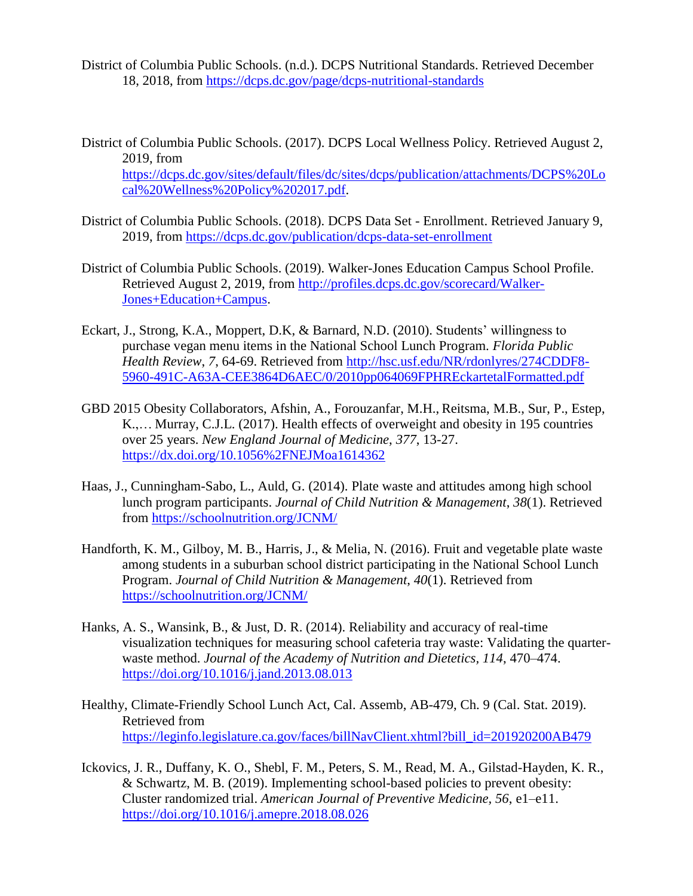- District of Columbia Public Schools. (n.d.). DCPS Nutritional Standards. Retrieved December 18, 2018, from<https://dcps.dc.gov/page/dcps-nutritional-standards>
- District of Columbia Public Schools. (2017). DCPS Local Wellness Policy. Retrieved August 2, 2019, from [https://dcps.dc.gov/sites/default/files/dc/sites/dcps/publication/attachments/DCPS%20Lo](https://dcps.dc.gov/sites/default/files/dc/sites/dcps/publication/attachments/DCPS%20Local%20Wellness%20Policy%202017.pdf) [cal%20Wellness%20Policy%202017.pdf.](https://dcps.dc.gov/sites/default/files/dc/sites/dcps/publication/attachments/DCPS%20Local%20Wellness%20Policy%202017.pdf)
- District of Columbia Public Schools. (2018). DCPS Data Set Enrollment. Retrieved January 9, 2019, from<https://dcps.dc.gov/publication/dcps-data-set-enrollment>
- District of Columbia Public Schools. (2019). Walker-Jones Education Campus School Profile. Retrieved August 2, 2019, from [http://profiles.dcps.dc.gov/scorecard/Walker-](http://profiles.dcps.dc.gov/scorecard/Walker-Jones+Education+Campus)[Jones+Education+Campus.](http://profiles.dcps.dc.gov/scorecard/Walker-Jones+Education+Campus)
- Eckart, J., Strong, K.A., Moppert, D.K, & Barnard, N.D. (2010). Students' willingness to purchase vegan menu items in the National School Lunch Program. *Florida Public Health Review*, *7*, 64-69. Retrieved from [http://hsc.usf.edu/NR/rdonlyres/274CDDF8-](http://hsc.usf.edu/NR/rdonlyres/274CDDF8-5960-491C-A63A-CEE3864D6AEC/0/2010pp064069FPHREckartetalFormatted.pdf) [5960-491C-A63A-CEE3864D6AEC/0/2010pp064069FPHREckartetalFormatted.pdf](http://hsc.usf.edu/NR/rdonlyres/274CDDF8-5960-491C-A63A-CEE3864D6AEC/0/2010pp064069FPHREckartetalFormatted.pdf)
- GBD 2015 Obesity Collaborators, Afshin, A., Forouzanfar, M.H., Reitsma, M.B., Sur, P., Estep, K.,… Murray, C.J.L. (2017). Health effects of overweight and obesity in 195 countries over 25 years. *New England Journal of Medicine*, *377*, 13-27. <https://dx.doi.org/10.1056%2FNEJMoa1614362>
- Haas, J., Cunningham-Sabo, L., Auld, G. (2014). Plate waste and attitudes among high school lunch program participants. *Journal of Child Nutrition & Management*, *38*(1). Retrieved from <https://schoolnutrition.org/JCNM/>
- Handforth, K. M., Gilboy, M. B., Harris, J., & Melia, N. (2016). Fruit and vegetable plate waste among students in a suburban school district participating in the National School Lunch Program. *Journal of Child Nutrition & Management*, *40*(1). Retrieved from <https://schoolnutrition.org/JCNM/>
- Hanks, A. S., Wansink, B., & Just, D. R. (2014). Reliability and accuracy of real-time visualization techniques for measuring school cafeteria tray waste: Validating the quarterwaste method. *Journal of the Academy of Nutrition and Dietetics, 114*, 470–474. <https://doi.org/10.1016/j.jand.2013.08.013>
- Healthy, Climate-Friendly School Lunch Act, Cal. Assemb, AB-479, Ch. 9 (Cal. Stat. 2019). Retrieved from [https://leginfo.legislature.ca.gov/faces/billNavClient.xhtml?bill\\_id=201920200AB479](https://leginfo.legislature.ca.gov/faces/billNavClient.xhtml?bill_id=201920200AB479)
- Ickovics, J. R., Duffany, K. O., Shebl, F. M., Peters, S. M., Read, M. A., Gilstad-Hayden, K. R., & Schwartz, M. B. (2019). Implementing school-based policies to prevent obesity: Cluster randomized trial. *American Journal of Preventive Medicine, 56*, e1–e11. <https://doi.org/10.1016/j.amepre.2018.08.026>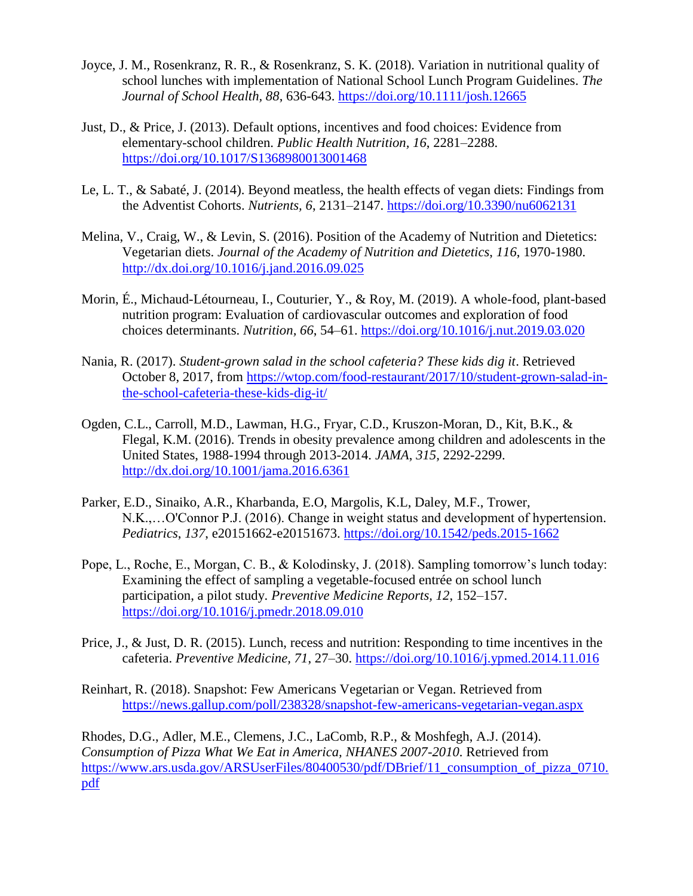- Joyce, J. M., Rosenkranz, R. R., & Rosenkranz, S. K. (2018). Variation in nutritional quality of school lunches with implementation of National School Lunch Program Guidelines. *The Journal of School Health, 88*, 636-643.<https://doi.org/10.1111/josh.12665>
- Just, D., & Price, J. (2013). Default options, incentives and food choices: Evidence from elementary-school children. *Public Health Nutrition, 16*, 2281–2288. <https://doi.org/10.1017/S1368980013001468>
- Le, L. T., & Sabaté, J. (2014). Beyond meatless, the health effects of vegan diets: Findings from the Adventist Cohorts. *Nutrients, 6*, 2131–2147.<https://doi.org/10.3390/nu6062131>
- Melina, V., Craig, W., & Levin, S. (2016). Position of the Academy of Nutrition and Dietetics: Vegetarian diets. *Journal of the Academy of Nutrition and Dietetics*, *116*, 1970-1980. <http://dx.doi.org/10.1016/j.jand.2016.09.025>
- Morin, É., Michaud-Létourneau, I., Couturier, Y., & Roy, M. (2019). A whole-food, plant-based nutrition program: Evaluation of cardiovascular outcomes and exploration of food choices determinants. *Nutrition, 66*, 54–61.<https://doi.org/10.1016/j.nut.2019.03.020>
- Nania, R. (2017). *Student-grown salad in the school cafeteria? These kids dig it*. Retrieved October 8, 2017, from [https://wtop.com/food-restaurant/2017/10/student-grown-salad-in](https://wtop.com/food-restaurant/2017/10/student-grown-salad-in-the-school-cafeteria-these-kids-dig-it/)[the-school-cafeteria-these-kids-dig-it/](https://wtop.com/food-restaurant/2017/10/student-grown-salad-in-the-school-cafeteria-these-kids-dig-it/)
- Ogden, C.L., Carroll, M.D., Lawman, H.G., Fryar, C.D., Kruszon-Moran, D., Kit, B.K., & Flegal, K.M. (2016). Trends in obesity prevalence among children and adolescents in the United States, 1988-1994 through 2013-2014. *JAMA*, *315,* 2292-2299. <http://dx.doi.org/10.1001/jama.2016.6361>
- Parker, E.D., Sinaiko, A.R., Kharbanda, E.O, Margolis, K.L, Daley, M.F., Trower, N.K.,…O'Connor P.J. (2016). Change in weight status and development of hypertension. *Pediatrics*, *137*, e20151662-e20151673.<https://doi.org/10.1542/peds.2015-1662>
- Pope, L., Roche, E., Morgan, C. B., & Kolodinsky, J. (2018). Sampling tomorrow's lunch today: Examining the effect of sampling a vegetable-focused entrée on school lunch participation, a pilot study. *Preventive Medicine Reports, 12*, 152–157. <https://doi.org/10.1016/j.pmedr.2018.09.010>
- Price, J., & Just, D. R. (2015). Lunch, recess and nutrition: Responding to time incentives in the cafeteria. *Preventive Medicine, 71*, 27–30.<https://doi.org/10.1016/j.ypmed.2014.11.016>
- Reinhart, R. (2018). Snapshot: Few Americans Vegetarian or Vegan. Retrieved from <https://news.gallup.com/poll/238328/snapshot-few-americans-vegetarian-vegan.aspx>

Rhodes, D.G., Adler, M.E., Clemens, J.C., LaComb, R.P., & Moshfegh, A.J. (2014). *Consumption of Pizza What We Eat in America, NHANES 2007-2010*. Retrieved from https://www.ars.usda.gov/ARSUserFiles/80400530/pdf/DBrief/11 consumption of pizza 0710. [pdf](https://www.ars.usda.gov/ARSUserFiles/80400530/pdf/DBrief/11_consumption_of_pizza_0710.pdf)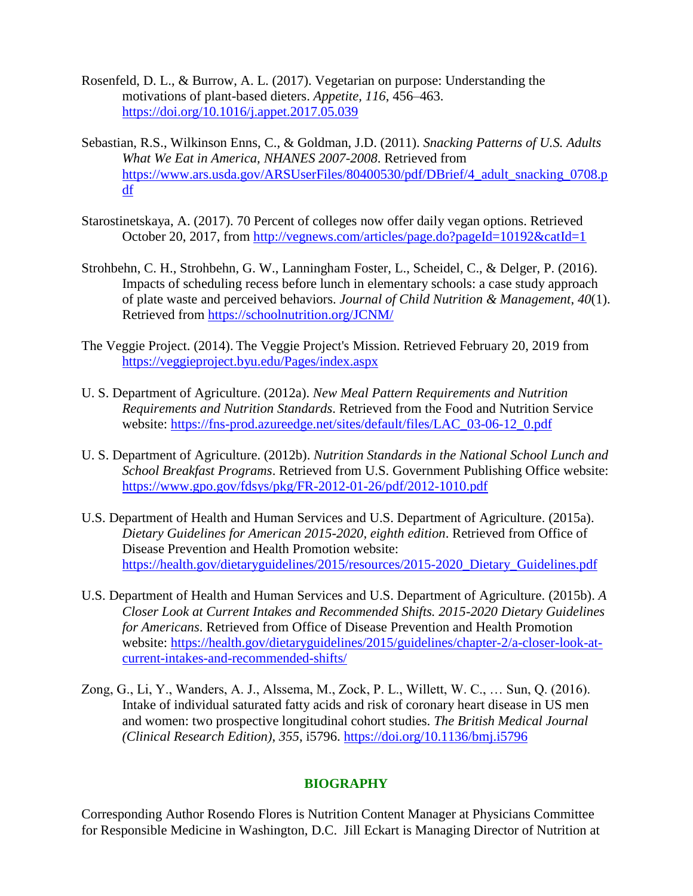- Rosenfeld, D. L., & Burrow, A. L. (2017). Vegetarian on purpose: Understanding the motivations of plant-based dieters. *Appetite, 116*, 456–463. <https://doi.org/10.1016/j.appet.2017.05.039>
- Sebastian, R.S., Wilkinson Enns, C., & Goldman, J.D. (2011). *Snacking Patterns of U.S. Adults What We Eat in America, NHANES 2007-2008*. Retrieved from [https://www.ars.usda.gov/ARSUserFiles/80400530/pdf/DBrief/4\\_adult\\_snacking\\_0708.p](https://www.ars.usda.gov/ARSUserFiles/80400530/pdf/DBrief/4_adult_snacking_0708.pdf) [df](https://www.ars.usda.gov/ARSUserFiles/80400530/pdf/DBrief/4_adult_snacking_0708.pdf)
- Starostinetskaya, A. (2017). 70 Percent of colleges now offer daily vegan options. Retrieved October 20, 2017, from <http://vegnews.com/articles/page.do?pageId=10192&catId=1>
- Strohbehn, C. H., Strohbehn, G. W., Lanningham Foster, L., Scheidel, C., & Delger, P. (2016). Impacts of scheduling recess before lunch in elementary schools: a case study approach of plate waste and perceived behaviors. *Journal of Child Nutrition & Management*, *40*(1). Retrieved from<https://schoolnutrition.org/JCNM/>
- The Veggie Project. (2014). The Veggie Project's Mission. Retrieved February 20, 2019 from <https://veggieproject.byu.edu/Pages/index.aspx>
- U. S. Department of Agriculture. (2012a). *New Meal Pattern Requirements and Nutrition Requirements and Nutrition Standards*. Retrieved from the Food and Nutrition Service website: [https://fns-prod.azureedge.net/sites/default/files/LAC\\_03-06-12\\_0.pdf](https://fns-prod.azureedge.net/sites/default/files/LAC_03-06-12_0.pdf)
- U. S. Department of Agriculture. (2012b). *Nutrition Standards in the National School Lunch and School Breakfast Programs*. Retrieved from U.S. Government Publishing Office website: <https://www.gpo.gov/fdsys/pkg/FR-2012-01-26/pdf/2012-1010.pdf>
- U.S. Department of Health and Human Services and U.S. Department of Agriculture. (2015a). *Dietary Guidelines for American 2015-2020, eighth edition*. Retrieved from Office of Disease Prevention and Health Promotion website: [https://health.gov/dietaryguidelines/2015/resources/2015-2020\\_Dietary\\_Guidelines.pdf](https://health.gov/dietaryguidelines/2015/resources/2015-2020_Dietary_Guidelines.pdf)
- U.S. Department of Health and Human Services and U.S. Department of Agriculture. (2015b). *A Closer Look at Current Intakes and Recommended Shifts. 2015-2020 Dietary Guidelines for Americans*. Retrieved from Office of Disease Prevention and Health Promotion website: [https://health.gov/dietaryguidelines/2015/guidelines/chapter-2/a-closer-look-at](https://health.gov/dietaryguidelines/2015/guidelines/chapter-2/a-closer-look-at-current-intakes-and-recommended-shifts/)[current-intakes-and-recommended-shifts/](https://health.gov/dietaryguidelines/2015/guidelines/chapter-2/a-closer-look-at-current-intakes-and-recommended-shifts/)
- Zong, G., Li, Y., Wanders, A. J., Alssema, M., Zock, P. L., Willett, W. C., … Sun, Q. (2016). Intake of individual saturated fatty acids and risk of coronary heart disease in US men and women: two prospective longitudinal cohort studies. *The British Medical Journal (Clinical Research Edition)*, *355*, i5796. <https://doi.org/10.1136/bmj.i5796>

## **BIOGRAPHY**

Corresponding Author Rosendo Flores is Nutrition Content Manager at Physicians Committee for Responsible Medicine in Washington, D.C. Jill Eckart is Managing Director of Nutrition at